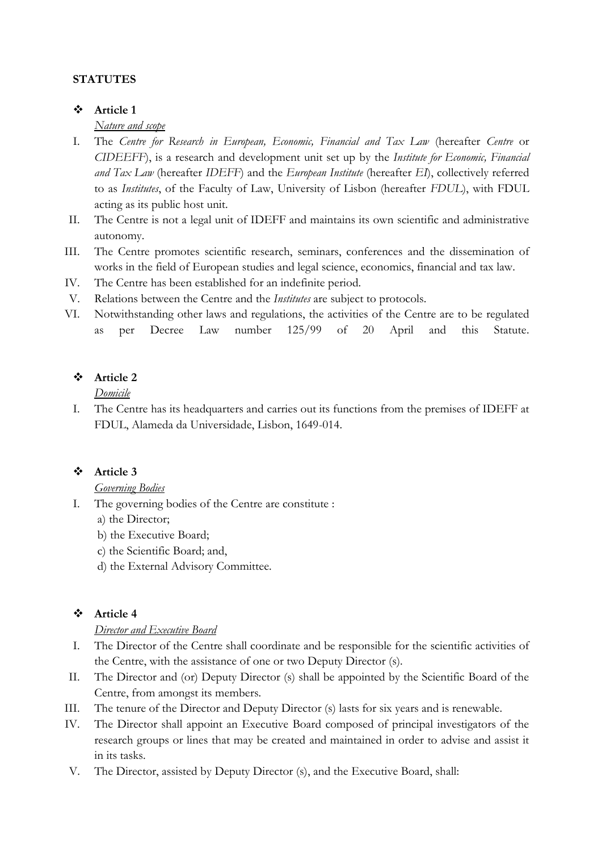## **STATUTES**

### **Article 1**

### *Nature and scope*

- I. The *Centre for Research in European, Economic, Financial and Tax Law* (hereafter *Centre* or *CIDEEFF*), is a research and development unit set up by the *Institute for Economic, Financial and Tax Law* (hereafter *IDEFF*) and the *European Institute* (hereafter *EI*), collectively referred to as *Institutes*, of the Faculty of Law, University of Lisbon (hereafter *FDUL*), with FDUL acting as its public host unit.
- II. The Centre is not a legal unit of IDEFF and maintains its own scientific and administrative autonomy.
- III. The Centre promotes scientific research, seminars, conferences and the dissemination of works in the field of European studies and legal science, economics, financial and tax law.
- IV. The Centre has been established for an indefinite period.
- V. Relations between the Centre and the *Institutes* are subject to protocols.
- VI. Notwithstanding other laws and regulations, the activities of the Centre are to be regulated as per Decree Law number 125/99 of 20 April and this Statute.

## **Article 2**

## *Domicile*

I. The Centre has its headquarters and carries out its functions from the premises of IDEFF at FDUL, Alameda da Universidade, Lisbon, 1649-014.

## **Article 3**

## *Governing Bodies*

- I. The governing bodies of the Centre are constitute :
	- a) the Director;
	- b) the Executive Board;
	- c) the Scientific Board; and,
	- d) the External Advisory Committee.

## **Article 4**

### *Director and Executive Board*

- I. The Director of the Centre shall coordinate and be responsible for the scientific activities of the Centre, with the assistance of one or two Deputy Director (s).
- II. The Director and (or) Deputy Director (s) shall be appointed by the Scientific Board of the Centre, from amongst its members.
- III. The tenure of the Director and Deputy Director (s) lasts for six years and is renewable.
- IV. The Director shall appoint an Executive Board composed of principal investigators of the research groups or lines that may be created and maintained in order to advise and assist it in its tasks.
- V. The Director, assisted by Deputy Director (s), and the Executive Board, shall: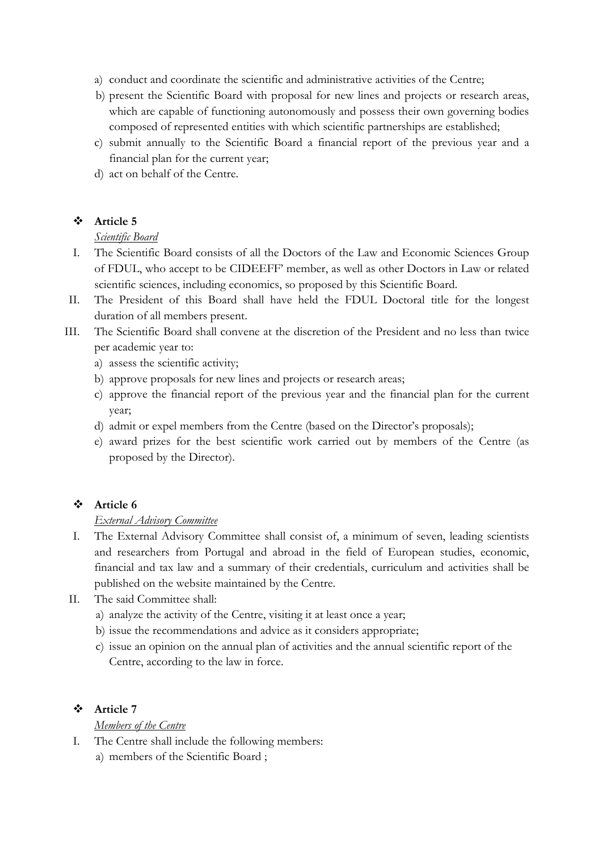- a) conduct and coordinate the scientific and administrative activities of the Centre;
- b) present the Scientific Board with proposal for new lines and projects or research areas, which are capable of functioning autonomously and possess their own governing bodies composed of represented entities with which scientific partnerships are established;
- c) submit annually to the Scientific Board a financial report of the previous year and a financial plan for the current year;
- d) act on behalf of the Centre.

# **Article 5**

# *Scientific Board*

- I. The Scientific Board consists of all the Doctors of the Law and Economic Sciences Group of FDUL, who accept to be CIDEEFF' member, as well as other Doctors in Law or related scientific sciences, including economics, so proposed by this Scientific Board.
- II. The President of this Board shall have held the FDUL Doctoral title for the longest duration of all members present.
- III. The Scientific Board shall convene at the discretion of the President and no less than twice per academic year to:
	- a) assess the scientific activity;
	- b) approve proposals for new lines and projects or research areas;
	- c) approve the financial report of the previous year and the financial plan for the current year;
	- d) admit or expel members from the Centre (based on the Director's proposals);
	- e) award prizes for the best scientific work carried out by members of the Centre (as proposed by the Director).

# **Article 6**

## *External Advisory Committee*

- I. The External Advisory Committee shall consist of, a minimum of seven, leading scientists and researchers from Portugal and abroad in the field of European studies, economic, financial and tax law and a summary of their credentials, curriculum and activities shall be published on the website maintained by the Centre.
- II. The said Committee shall:
	- a) analyze the activity of the Centre, visiting it at least once a year;
	- b) issue the recommendations and advice as it considers appropriate;
	- c) issue an opinion on the annual plan of activities and the annual scientific report of the Centre, according to the law in force.

# **Article 7**

# *Members of the Centre*

- I. The Centre shall include the following members:
	- a) members of the Scientific Board ;